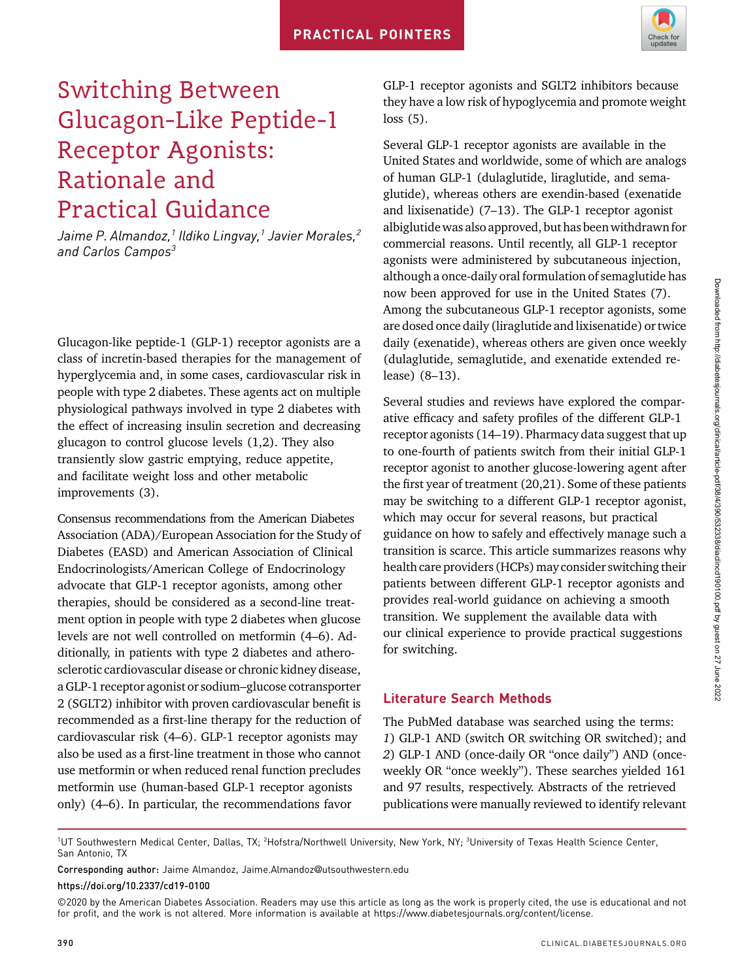

# Switching Between Glucagon-Like Peptide-1 Receptor Agonists: Rationale and Practical Guidance

Jaime P. Almandoz,<sup>1</sup> Ildiko Lingvay,<sup>1</sup> Javier Morales,<sup>2</sup> and Carlos Campos $3$ 

Glucagon-like peptide-1 (GLP-1) receptor agonists are a class of incretin-based therapies for the management of hyperglycemia and, in some cases, cardiovascular risk in people with type 2 diabetes. These agents act on multiple physiological pathways involved in type 2 diabetes with the effect of increasing insulin secretion and decreasing glucagon to control glucose levels (1,2). They also transiently slow gastric emptying, reduce appetite, and facilitate weight loss and other metabolic improvements (3).

Consensus recommendations from the American Diabetes Association (ADA)/European Association for the Study of Diabetes (EASD) and American Association of Clinical Endocrinologists/American College of Endocrinology advocate that GLP-1 receptor agonists, among other therapies, should be considered as a second-line treatment option in people with type 2 diabetes when glucose levels are not well controlled on metformin (4–6). Additionally, in patients with type 2 diabetes and atherosclerotic cardiovascular disease or chronic kidney disease, a GLP-1 receptor agonist or sodium–glucose cotransporter 2 (SGLT2) inhibitor with proven cardiovascular benefit is recommended as a first-line therapy for the reduction of cardiovascular risk (4–6). GLP-1 receptor agonists may also be used as a first-line treatment in those who cannot use metformin or when reduced renal function precludes metformin use (human-based GLP-1 receptor agonists only) (4–6). In particular, the recommendations favor

GLP-1 receptor agonists and SGLT2 inhibitors because they have a low risk of hypoglycemia and promote weight loss (5).

Several GLP-1 receptor agonists are available in the United States and worldwide, some of which are analogs of human GLP-1 (dulaglutide, liraglutide, and semaglutide), whereas others are exendin-based (exenatide and lixisenatide) (7–13). The GLP-1 receptor agonist albiglutide was also approved, but has been withdrawn for commercial reasons. Until recently, all GLP-1 receptor agonists were administered by subcutaneous injection, although a once-daily oral formulation of semaglutide has now been approved for use in the United States (7). Among the subcutaneous GLP-1 receptor agonists, some are dosed once daily (liraglutide and lixisenatide) or twice daily (exenatide), whereas others are given once weekly (dulaglutide, semaglutide, and exenatide extended release) (8–13).

Several studies and reviews have explored the comparative efficacy and safety profiles of the different GLP-1 receptor agonists (14–19). Pharmacy data suggest that up to one-fourth of patients switch from their initial GLP-1 receptor agonist to another glucose-lowering agent after the first year of treatment (20,21). Some of these patients may be switching to a different GLP-1 receptor agonist, which may occur for several reasons, but practical guidance on how to safely and effectively manage such a transition is scarce. This article summarizes reasons why health care providers (HCPs) may consider switching their patients between different GLP-1 receptor agonists and provides real-world guidance on achieving a smooth transition. We supplement the available data with our clinical experience to provide practical suggestions for switching.

## Literature Search Methods

The PubMed database was searched using the terms: 1) GLP-1 AND (switch OR switching OR switched); and 2) GLP-1 AND (once-daily OR "once daily") AND (onceweekly OR "once weekly"). These searches yielded 161 and 97 results, respectively. Abstracts of the retrieved publications were manually reviewed to identify relevant

<sup>1</sup>UT Southwestern Medical Center, Dallas, TX; <sup>2</sup>Hofstra/Northwell University, New York, NY; <sup>3</sup>University of Texas Health Science Center, San Antonio, TX

Corresponding author: Jaime Almandoz, Jaime.Almandoz@[utsouthwestern.edu](mailto:Jaime.Almandoz@utsouthwestern.edu)

#### [https://doi.org/10.2337/cd19-0100](https://dx.doi.org/10.2337/cd19-0100)

©2020 by the American Diabetes Association. Readers may use this article as long as the work is properly cited, the use is educational and not for profit, and the work is not altered. More information is available at [https://www.diabetesjournals.org/content/license.](https://www.diabetesjournals.org/content/license)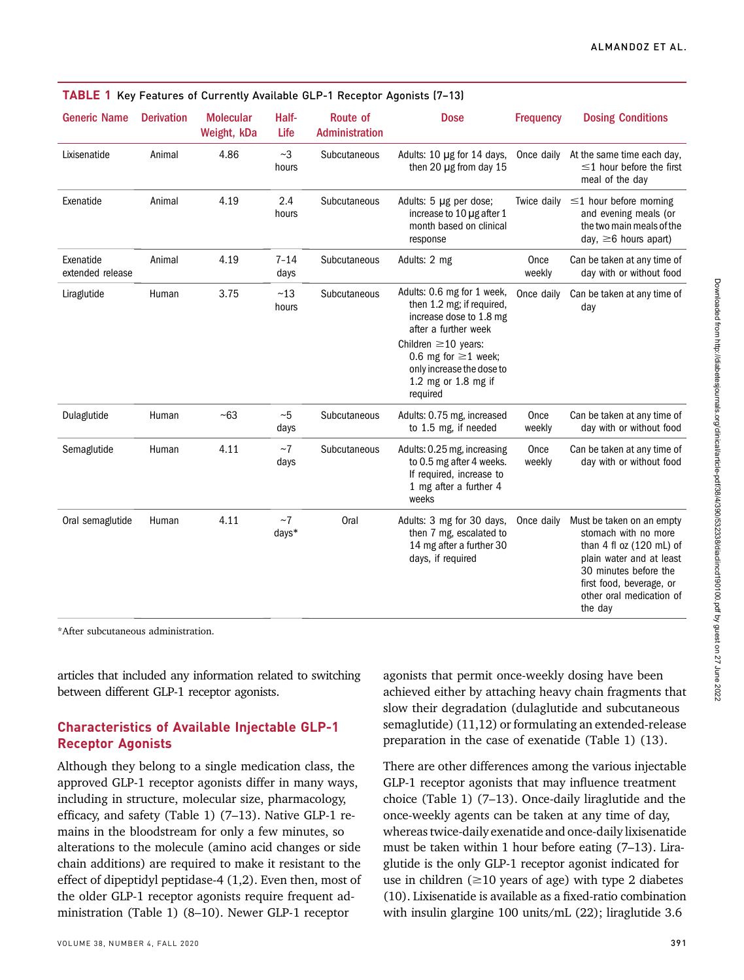| <b>Generic Name</b>           | <b>Derivation</b> | <b>Molecular</b><br>Weight, kDa | Half-<br>Life    | Route of<br>Administration | <b>Dose</b>                                                                                                                                                                                                                          | <b>Frequency</b> | <b>Dosing Conditions</b>                                                                                                                                                                               |
|-------------------------------|-------------------|---------------------------------|------------------|----------------------------|--------------------------------------------------------------------------------------------------------------------------------------------------------------------------------------------------------------------------------------|------------------|--------------------------------------------------------------------------------------------------------------------------------------------------------------------------------------------------------|
| Lixisenatide                  | Animal            | 4.86                            | ~2<br>hours      | Subcutaneous               | Adults: 10 µg for 14 days,<br>then 20 $\mu$ g from day 15                                                                                                                                                                            | Once daily       | At the same time each day,<br>$\leq$ 1 hour before the first<br>meal of the day                                                                                                                        |
| Exenatide                     | Animal            | 4.19                            | 2.4<br>hours     | Subcutaneous               | Adults: 5 µg per dose;<br>increase to 10 µg after 1<br>month based on clinical<br>response                                                                                                                                           | Twice daily      | $\leq$ 1 hour before morning<br>and evening meals (or<br>the two main meals of the<br>day, $\geq 6$ hours apart)                                                                                       |
| Exenatide<br>extended release | Animal            | 4.19                            | $7 - 14$<br>days | Subcutaneous               | Adults: 2 mg                                                                                                                                                                                                                         | Once<br>weekly   | Can be taken at any time of<br>day with or without food                                                                                                                                                |
| Liraglutide                   | Human             | 3.75                            | $~13$<br>hours   | Subcutaneous               | Adults: 0.6 mg for 1 week,<br>then 1.2 mg; if required,<br>increase dose to 1.8 mg<br>after a further week<br>Children $\geq$ 10 years:<br>0.6 mg for $\geq$ 1 week;<br>only increase the dose to<br>1.2 mg or 1.8 mg if<br>required | Once daily       | Can be taken at any time of<br>day                                                                                                                                                                     |
| Dulaglutide                   | Human             | $~5$ 63                         | ~1<br>days       | Subcutaneous               | Adults: 0.75 mg, increased<br>to 1.5 mg, if needed                                                                                                                                                                                   | Once<br>weekly   | Can be taken at any time of<br>day with or without food                                                                                                                                                |
| Semaglutide                   | Human             | 4.11                            | ~1<br>days       | Subcutaneous               | Adults: 0.25 mg, increasing<br>to 0.5 mg after 4 weeks.<br>If required, increase to<br>1 mg after a further 4<br>weeks                                                                                                               | Once<br>weekly   | Can be taken at any time of<br>day with or without food                                                                                                                                                |
| Oral semaglutide              | Human             | 4.11                            | ~1<br>days*      | Oral                       | Adults: 3 mg for 30 days,<br>then 7 mg, escalated to<br>14 mg after a further 30<br>days, if required                                                                                                                                | Once daily       | Must be taken on an empty<br>stomach with no more<br>than 4 fl $oz(120$ mL) of<br>plain water and at least<br>30 minutes before the<br>first food, beverage, or<br>other oral medication of<br>the day |

# TABLE 1 Key Features of Currently Available GLP-1 Receptor Agonists (7–13)

\*After subcutaneous administration.

articles that included any information related to switching between different GLP-1 receptor agonists.

# Characteristics of Available Injectable GLP-1 Receptor Agonists

Although they belong to a single medication class, the approved GLP-1 receptor agonists differ in many ways, including in structure, molecular size, pharmacology, efficacy, and safety (Table 1) (7–13). Native GLP-1 remains in the bloodstream for only a few minutes, so alterations to the molecule (amino acid changes or side chain additions) are required to make it resistant to the effect of dipeptidyl peptidase-4 (1,2). Even then, most of the older GLP-1 receptor agonists require frequent administration (Table 1) (8–10). Newer GLP-1 receptor

agonists that permit once-weekly dosing have been achieved either by attaching heavy chain fragments that slow their degradation (dulaglutide and subcutaneous semaglutide) (11,12) or formulating an extended-release preparation in the case of exenatide (Table 1) (13).

There are other differences among the various injectable GLP-1 receptor agonists that may influence treatment choice (Table 1) (7–13). Once-daily liraglutide and the once-weekly agents can be taken at any time of day, whereas twice-daily exenatide and once-daily lixisenatide must be taken within 1 hour before eating (7–13). Liraglutide is the only GLP-1 receptor agonist indicated for use in children ( $\geq$ 10 years of age) with type 2 diabetes (10). Lixisenatide is available as a fixed-ratio combination with insulin glargine 100 units/mL (22); liraglutide 3.6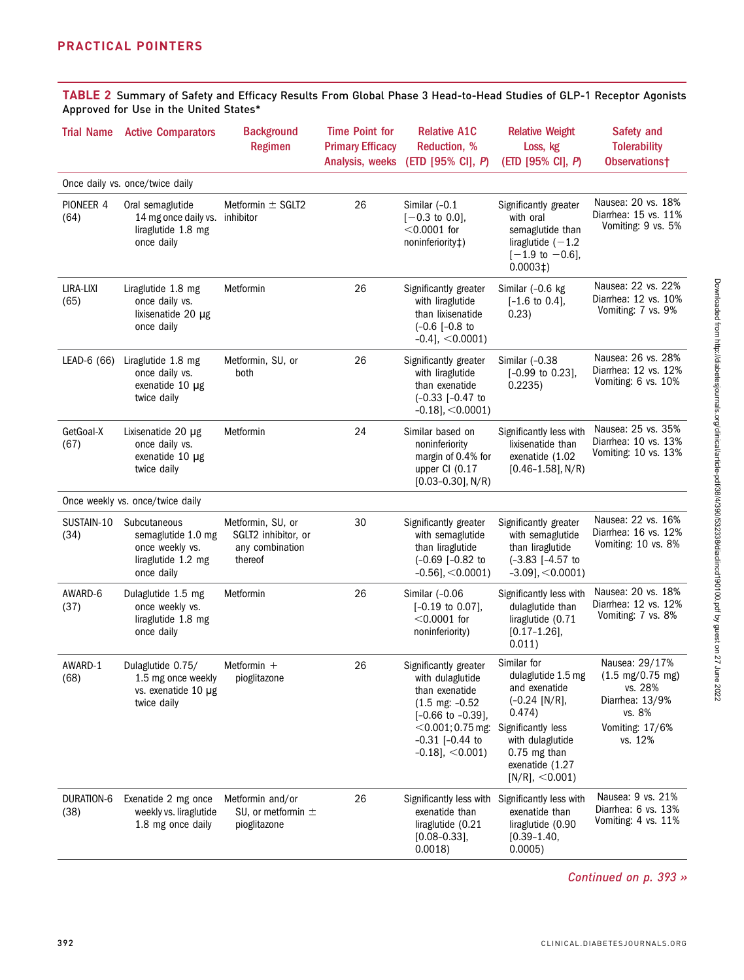|                                 | <b>Trial Name Active Comparators</b>                                                      | <b>Background</b><br><b>Regimen</b>                                    | <b>Time Point for</b><br><b>Primary Efficacy</b><br>Analysis, weeks | <b>Relative A1C</b><br>Reduction, %<br>(ETD [95% CI], P)                                                                                                                                     | <b>Relative Weight</b><br>Loss, kg<br>(ETD [95% CI], <i>P</i> )                                                                                                                     | Safety and<br><b>Tolerability</b><br>Observations <sup>+</sup>                                                             |  |
|---------------------------------|-------------------------------------------------------------------------------------------|------------------------------------------------------------------------|---------------------------------------------------------------------|----------------------------------------------------------------------------------------------------------------------------------------------------------------------------------------------|-------------------------------------------------------------------------------------------------------------------------------------------------------------------------------------|----------------------------------------------------------------------------------------------------------------------------|--|
| Once daily vs. once/twice daily |                                                                                           |                                                                        |                                                                     |                                                                                                                                                                                              |                                                                                                                                                                                     |                                                                                                                            |  |
| PIONEER 4<br>(64)               | Oral semaglutide<br>14 mg once daily vs.<br>liraglutide 1.8 mg<br>once daily              | Metformin $\pm$ SGLT2<br>inhibitor                                     | 26                                                                  | Similar (-0.1<br>$[-0.3 \text{ to } 0.0],$<br>$<$ 0.0001 for<br>noninferiority‡)                                                                                                             | Significantly greater<br>with oral<br>semaglutide than<br>liraglutide $(-1.2)$<br>$[-1.9 \text{ to } -0.6]$ ,<br>$0.0003\ddagger$                                                   | Nausea: 20 vs. 18%<br>Diarrhea: 15 vs. 11%<br>Vomiting: 9 vs. 5%                                                           |  |
| LIRA-LIXI<br>(65)               | Liraglutide 1.8 mg<br>once daily vs.<br>lixisenatide 20 µg<br>once daily                  | Metformin                                                              | 26                                                                  | Significantly greater<br>with liraglutide<br>than lixisenatide<br>$(-0.6 [-0.8]$ to<br>$-0.4$ ], $< 0.0001$ )                                                                                | Similar (-0.6 kg<br>$[-1.6 \text{ to } 0.4],$<br>0.23)                                                                                                                              | Nausea: 22 vs. 22%<br>Diarrhea: 12 vs. 10%<br>Vomiting: 7 vs. 9%                                                           |  |
| LEAD-6 (66)                     | Liraglutide 1.8 mg<br>once daily vs.<br>exenatide 10 µg<br>twice daily                    | Metformin, SU, or<br>both                                              | 26                                                                  | Significantly greater<br>with liraglutide<br>than exenatide<br>$(-0.33$ $[-0.47$ to<br>$-0.18$ ], $< 0.0001$ )                                                                               | Similar (-0.38<br>$[-0.99 \text{ to } 0.23],$<br>0.2235)                                                                                                                            | Nausea: 26 vs. 28%<br>Diarrhea: 12 vs. 12%<br>Vomiting: 6 vs. 10%                                                          |  |
| GetGoal-X<br>(67)               | Lixisenatide 20 µg<br>once daily vs.<br>exenatide 10 µg<br>twice daily                    | Metformin                                                              | 24                                                                  | Similar based on<br>noninferiority<br>margin of 0.4% for<br>upper $Cl$ (0.17<br>$[0.03 - 0.30]$ , N/R)                                                                                       | Significantly less with<br>lixisenatide than<br>exenatide (1.02<br>$[0.46 - 1.58]$ , N/R)                                                                                           | Nausea: 25 vs. 35%<br>Diarrhea: 10 vs. 13%<br>Vomiting: 10 vs. 13%                                                         |  |
|                                 | Once weekly vs. once/twice daily                                                          |                                                                        |                                                                     |                                                                                                                                                                                              |                                                                                                                                                                                     |                                                                                                                            |  |
| SUSTAIN-10<br>(34)              | Subcutaneous<br>semaglutide 1.0 mg<br>once weekly vs.<br>liraglutide 1.2 mg<br>once daily | Metformin, SU, or<br>SGLT2 inhibitor, or<br>any combination<br>thereof | 30                                                                  | Significantly greater<br>with semaglutide<br>than liraglutide<br>$(-0.69$ $[-0.82$ to<br>$-0.56$ ], $< 0.0001$ )                                                                             | Significantly greater<br>with semaglutide<br>than liraglutide<br>$(-3.83$ $[-4.57$ to<br>$-3.09$ ], $< 0.0001$ )                                                                    | Nausea: 22 vs. 16%<br>Diarrhea: 16 vs. 12%<br>Vomiting: 10 vs. 8%                                                          |  |
| AWARD-6<br>(37)                 | Dulaglutide 1.5 mg<br>once weekly vs.<br>liraglutide 1.8 mg<br>once daily                 | Metformin                                                              | 26                                                                  | Similar (-0.06<br>$[-0.19 \text{ to } 0.07]$ ,<br>$<$ 0.0001 for<br>noninferiority)                                                                                                          | Significantly less with<br>dulaglutide than<br>liraglutide (0.71<br>$[0.17 - 1.26]$ ,<br>0.011)                                                                                     | Nausea: 20 vs. 18%<br>Diarrhea: 12 vs. 12%<br>Vomiting: 7 vs. 8%                                                           |  |
| AWARD-1<br>(68)                 | Dulaglutide 0.75/<br>1.5 mg once weekly<br>vs. exenatide 10 µg<br>twice daily             | Metformin $+$<br>pioglitazone                                          | 26                                                                  | Significantly greater<br>with dulaglutide<br>than exenatide<br>$(1.5 \text{ mg} : -0.52)$<br>$[-0.66$ to $-0.39$ ],<br>$<$ 0.001; 0.75 mg:<br>$-0.31$ [ $-0.44$ to<br>$-0.18$ ], $< 0.001$ ) | Similar for<br>dulaglutide 1.5 mg<br>and exenatide<br>$(-0.24$ [N/R],<br>0.474)<br>Significantly less<br>with dulaglutide<br>$0.75$ mg than<br>exenatide (1.27<br>$[N/R]$ , <0.001) | Nausea: 29/17%<br>$(1.5 \text{ mg}/0.75 \text{ mg})$<br>vs. 28%<br>Diarrhea: 13/9%<br>vs. 8%<br>Vomiting: 17/6%<br>vs. 12% |  |
| DURATION-6<br>(38)              | Exenatide 2 mg once<br>weekly vs. liraglutide<br>1.8 mg once daily                        | Metformin and/or<br>SU, or metformin $\pm$<br>pioglitazone             | 26                                                                  | exenatide than<br>liraglutide (0.21<br>$[0.08 - 0.33]$ ,<br>0.0018)                                                                                                                          | Significantly less with Significantly less with<br>exenatide than<br>liraglutide (0.90<br>$[0.39 - 1.40]$<br>0.0005)                                                                | Nausea: 9 vs. 21%<br>Diarrhea: 6 vs. 13%<br>Vomiting: 4 vs. 11%                                                            |  |

TABLE 2 Summary of Safety and Efficacy Results From Global Phase 3 Head-to-Head Studies of GLP-1 Receptor Agonists Approved for Use in the United States\*

Continued on p. 393 »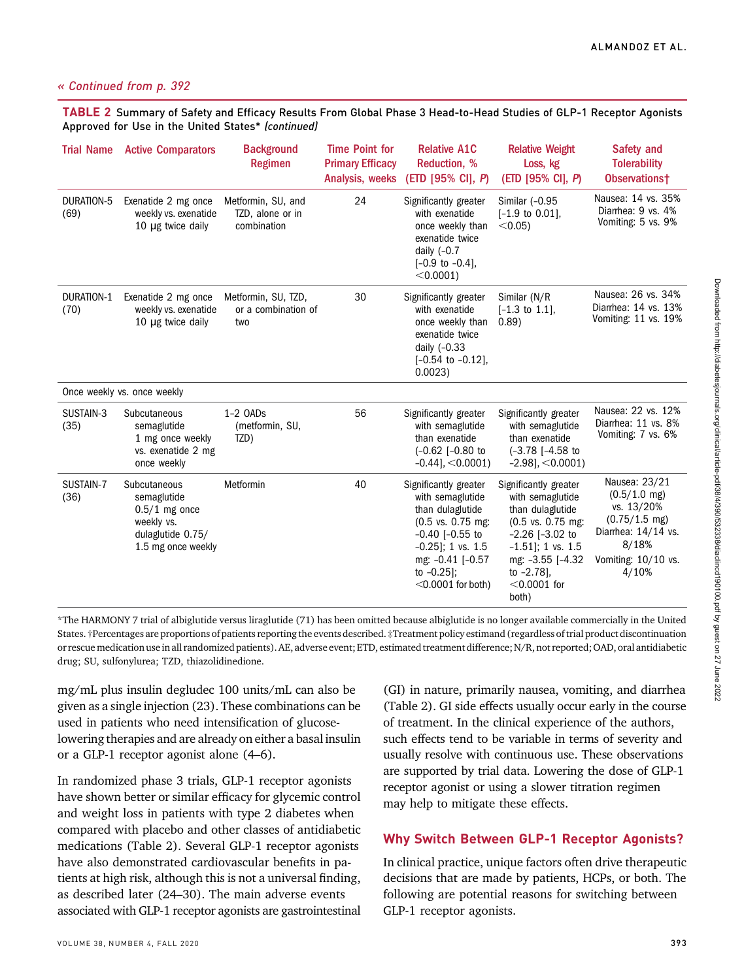#### « Continued from p. 392

TABLE 2 Summary of Safety and Efficacy Results From Global Phase 3 Head-to-Head Studies of GLP-1 Receptor Agonists Approved for Use in the United States\* (continued)

| <b>Trial Name</b>         | <b>Active Comparators</b>                                                                               | <b>Background</b><br>Regimen                          | <b>Time Point for</b><br><b>Primary Efficacy</b> | <b>Relative A1C</b><br>Reduction, %<br>Analysis, weeks (ETD [95% CI], P)                                                                                                                                             | <b>Relative Weight</b><br>Loss, kg<br>(ETD [95% CI], P)                                                                                                                                           | Safety and<br><b>Tolerability</b><br>Observations†                                                                                                 |
|---------------------------|---------------------------------------------------------------------------------------------------------|-------------------------------------------------------|--------------------------------------------------|----------------------------------------------------------------------------------------------------------------------------------------------------------------------------------------------------------------------|---------------------------------------------------------------------------------------------------------------------------------------------------------------------------------------------------|----------------------------------------------------------------------------------------------------------------------------------------------------|
| DURATION-5<br>(69)        | Exenatide 2 mg once<br>weekly vs. exenatide<br>10 µg twice daily                                        | Metformin, SU, and<br>TZD, alone or in<br>combination | 24                                               | Significantly greater<br>with exenatide<br>once weekly than<br>exenatide twice<br>daily $(-0.7)$<br>$[-0.9$ to $-0.4]$ ,<br>< 0.0001                                                                                 | Similar (-0.95<br>$[-1.9 \text{ to } 0.01]$ ,<br>< 0.05                                                                                                                                           | Nausea: 14 vs. 35%<br>Diarrhea: 9 vs. 4%<br>Vomiting: 5 vs. 9%                                                                                     |
| <b>DURATION-1</b><br>(70) | Exenatide 2 mg once<br>weekly vs. exenatide<br>10 µg twice daily                                        | Metformin, SU, TZD,<br>or a combination of<br>two     | 30                                               | Significantly greater<br>with exenatide<br>once weekly than<br>exenatide twice<br>daily $(-0.33)$<br>$[-0.54 \text{ to } -0.12]$ ,<br>0.0023                                                                         | Similar (N/R<br>$[-1.3 \text{ to } 1.1]$ ,<br>0.89)                                                                                                                                               | Nausea: 26 vs. 34%<br>Diarrhea: 14 vs. 13%<br>Vomiting: 11 vs. 19%                                                                                 |
|                           | Once weekly vs. once weekly                                                                             |                                                       |                                                  |                                                                                                                                                                                                                      |                                                                                                                                                                                                   |                                                                                                                                                    |
| SUSTAIN-3<br>(35)         | Subcutaneous<br>semaglutide<br>1 mg once weekly<br>vs. exenatide 2 mg<br>once weekly                    | $1-2$ OADs<br>(metformin, SU,<br>TZD)                 | 56                                               | Significantly greater<br>with semaglutide<br>than exenatide<br>$(-0.62$ $[-0.80$ to<br>$-0.44$ ], $< 0.0001$ )                                                                                                       | Significantly greater<br>with semaglutide<br>than exenatide<br>$(-3.78$ [-4.58 to<br>$-2.98$ ], $< 0.0001$ )                                                                                      | Nausea: 22 vs. 12%<br>Diarrhea: 11 vs. 8%<br>Vomiting: 7 vs. 6%                                                                                    |
| SUSTAIN-7<br>(36)         | Subcutaneous<br>semaglutide<br>$0.5/1$ mg once<br>weekly vs.<br>dulaglutide 0.75/<br>1.5 mg once weekly | Metformin                                             | 40                                               | Significantly greater<br>with semaglutide<br>than dulaglutide<br>$(0.5 \text{ vs. } 0.75 \text{ mg})$<br>$-0.40$ [ $-0.55$ to<br>$-0.25$ ; 1 vs. 1.5<br>mg: -0.41 [-0.57<br>to $-0.25$ ];<br>$\leq 0.0001$ for both) | Significantly greater<br>with semaglutide<br>than dulaglutide<br>(0.5 vs. 0.75 mg:<br>$-2.26$ $[-3.02$ to<br>$-1.51$ ; 1 vs. 1.5<br>mg: -3.55 [-4.32]<br>to $-2.78$ ].<br>$<$ 0.0001 for<br>both) | Nausea: 23/21<br>$(0.5/1.0 \text{ mg})$<br>vs. 13/20%<br>$(0.75/1.5 \text{ mg})$<br>Diarrhea: 14/14 vs.<br>8/18%<br>Vomiting: $10/10$ vs.<br>4/10% |

\*The HARMONY 7 trial of albiglutide versus liraglutide (71) has been omitted because albiglutide is no longer available commercially in the United States. †Percentages are proportions of patients reporting the events described. ‡Treatment policy estimand (regardless of trial product discontinuation or rescue medication use in all randomized patients). AE, adverse event; ETD, estimated treatment difference; N/R, not reported; OAD, oral antidiabetic drug; SU, sulfonylurea; TZD, thiazolidinedione.

mg/mL plus insulin degludec 100 units/mL can also be given as a single injection (23). These combinations can be used in patients who need intensification of glucoselowering therapies and are already on either a basal insulin or a GLP-1 receptor agonist alone (4–6).

In randomized phase 3 trials, GLP-1 receptor agonists have shown better or similar efficacy for glycemic control and weight loss in patients with type 2 diabetes when compared with placebo and other classes of antidiabetic medications (Table 2). Several GLP-1 receptor agonists have also demonstrated cardiovascular benefits in patients at high risk, although this is not a universal finding, as described later (24–30). The main adverse events associated with GLP-1 receptor agonists are gastrointestinal

(GI) in nature, primarily nausea, vomiting, and diarrhea (Table 2). GI side effects usually occur early in the course of treatment. In the clinical experience of the authors, such effects tend to be variable in terms of severity and usually resolve with continuous use. These observations are supported by trial data. Lowering the dose of GLP-1 receptor agonist or using a slower titration regimen may help to mitigate these effects.

## Why Switch Between GLP-1 Receptor Agonists?

In clinical practice, unique factors often drive therapeutic decisions that are made by patients, HCPs, or both. The following are potential reasons for switching between GLP-1 receptor agonists.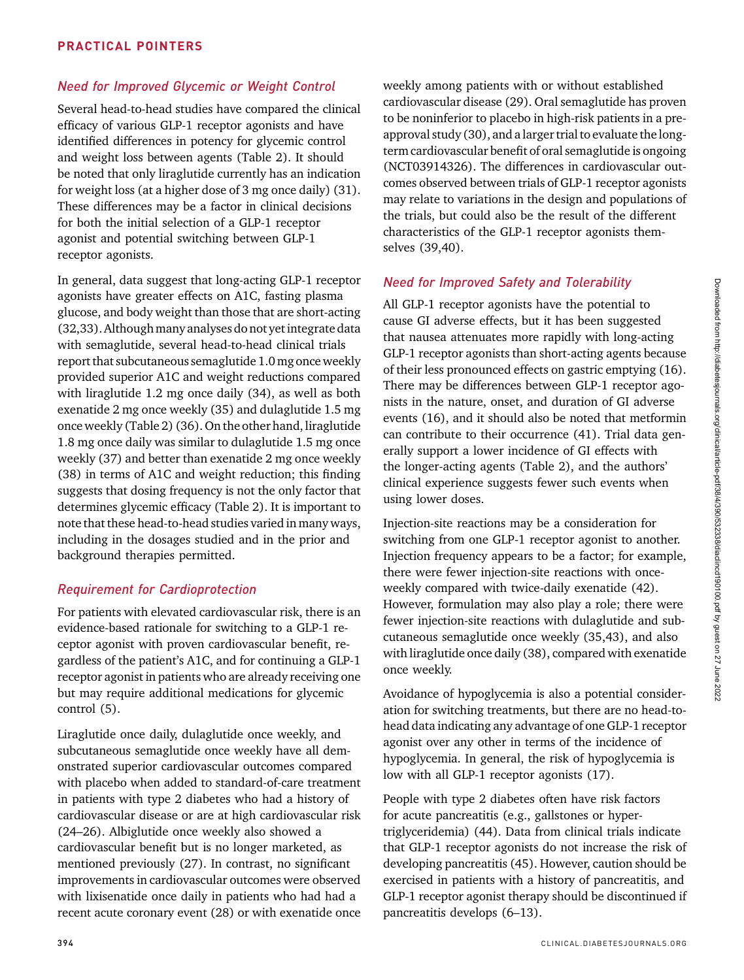# Need for Improved Glycemic or Weight Control

Several head-to-head studies have compared the clinical efficacy of various GLP-1 receptor agonists and have identified differences in potency for glycemic control and weight loss between agents (Table 2). It should be noted that only liraglutide currently has an indication for weight loss (at a higher dose of 3 mg once daily) (31). These differences may be a factor in clinical decisions for both the initial selection of a GLP-1 receptor agonist and potential switching between GLP-1 receptor agonists.

In general, data suggest that long-acting GLP-1 receptor agonists have greater effects on A1C, fasting plasma glucose, and body weight than those that are short-acting (32,33). Althoughmany analyses do not yet integrate data with semaglutide, several head-to-head clinical trials report that subcutaneous semaglutide 1.0 mg once weekly provided superior A1C and weight reductions compared with liraglutide 1.2 mg once daily (34), as well as both exenatide 2 mg once weekly (35) and dulaglutide 1.5 mg once weekly (Table 2) (36). On the other hand, liraglutide 1.8 mg once daily was similar to dulaglutide 1.5 mg once weekly (37) and better than exenatide 2 mg once weekly (38) in terms of A1C and weight reduction; this finding suggests that dosing frequency is not the only factor that determines glycemic efficacy (Table 2). It is important to note that these head-to-head studies varied in many ways, including in the dosages studied and in the prior and background therapies permitted.

# Requirement for Cardioprotection

For patients with elevated cardiovascular risk, there is an evidence-based rationale for switching to a GLP-1 receptor agonist with proven cardiovascular benefit, regardless of the patient's A1C, and for continuing a GLP-1 receptor agonist in patients who are already receiving one but may require additional medications for glycemic control (5).

Liraglutide once daily, dulaglutide once weekly, and subcutaneous semaglutide once weekly have all demonstrated superior cardiovascular outcomes compared with placebo when added to standard-of-care treatment in patients with type 2 diabetes who had a history of cardiovascular disease or are at high cardiovascular risk (24–26). Albiglutide once weekly also showed a cardiovascular benefit but is no longer marketed, as mentioned previously (27). In contrast, no significant improvements in cardiovascular outcomes were observed with lixisenatide once daily in patients who had had a recent acute coronary event (28) or with exenatide once

weekly among patients with or without established cardiovascular disease (29). Oral semaglutide has proven to be noninferior to placebo in high-risk patients in a preapproval study (30), and a larger trial to evaluate the longterm cardiovascular benefit of oral semaglutide is ongoing (NCT03914326). The differences in cardiovascular outcomes observed between trials of GLP-1 receptor agonists may relate to variations in the design and populations of the trials, but could also be the result of the different characteristics of the GLP-1 receptor agonists themselves (39,40).

# Need for Improved Safety and Tolerability

All GLP-1 receptor agonists have the potential to cause GI adverse effects, but it has been suggested that nausea attenuates more rapidly with long-acting GLP-1 receptor agonists than short-acting agents because of their less pronounced effects on gastric emptying (16). There may be differences between GLP-1 receptor agonists in the nature, onset, and duration of GI adverse events (16), and it should also be noted that metformin can contribute to their occurrence (41). Trial data generally support a lower incidence of GI effects with the longer-acting agents (Table 2), and the authors' clinical experience suggests fewer such events when using lower doses.

Injection-site reactions may be a consideration for switching from one GLP-1 receptor agonist to another. Injection frequency appears to be a factor; for example, there were fewer injection-site reactions with onceweekly compared with twice-daily exenatide (42). However, formulation may also play a role; there were fewer injection-site reactions with dulaglutide and subcutaneous semaglutide once weekly (35,43), and also with liraglutide once daily (38), compared with exenatide once weekly.

Avoidance of hypoglycemia is also a potential consideration for switching treatments, but there are no head-tohead data indicating any advantage of one GLP-1 receptor agonist over any other in terms of the incidence of hypoglycemia. In general, the risk of hypoglycemia is low with all GLP-1 receptor agonists (17).

People with type 2 diabetes often have risk factors for acute pancreatitis (e.g., gallstones or hypertriglyceridemia) (44). Data from clinical trials indicate that GLP-1 receptor agonists do not increase the risk of developing pancreatitis (45). However, caution should be exercised in patients with a history of pancreatitis, and GLP-1 receptor agonist therapy should be discontinued if pancreatitis develops (6–13).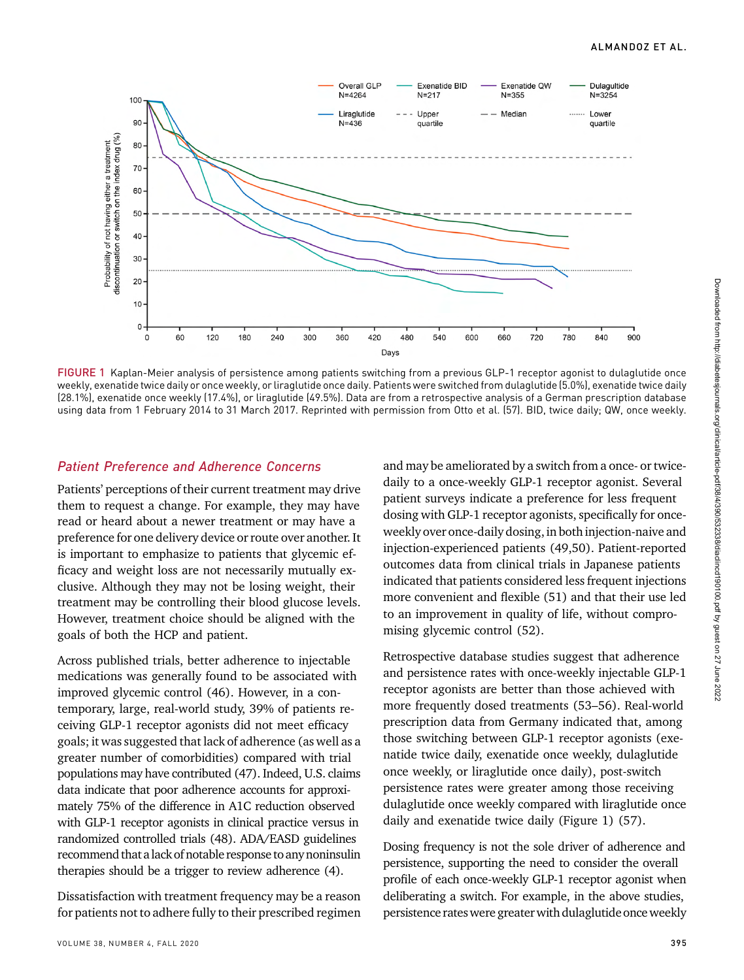

FIGURE 1 Kaplan-Meier analysis of persistence among patients switching from a previous GLP-1 receptor agonist to dulaglutide once weekly, exenatide twice daily or once weekly, or liraglutide once daily. Patients were switched from dulaglutide (5.0%), exenatide twice daily (28.1%), exenatide once weekly (17.4%), or liraglutide (49.5%). Data are from a retrospective analysis of a German prescription database using data from 1 February 2014 to 31 March 2017. Reprinted with permission from Otto et al. (57). BID, twice daily; QW, once weekly.

#### Patient Preference and Adherence Concerns

Patients' perceptions of their current treatment may drive them to request a change. For example, they may have read or heard about a newer treatment or may have a preference for one delivery device or route over another. It is important to emphasize to patients that glycemic efficacy and weight loss are not necessarily mutually exclusive. Although they may not be losing weight, their treatment may be controlling their blood glucose levels. However, treatment choice should be aligned with the goals of both the HCP and patient.

Across published trials, better adherence to injectable medications was generally found to be associated with improved glycemic control (46). However, in a contemporary, large, real-world study, 39% of patients receiving GLP-1 receptor agonists did not meet efficacy goals; it was suggested that lack of adherence (as well as a greater number of comorbidities) compared with trial populations may have contributed (47). Indeed, U.S. claims data indicate that poor adherence accounts for approximately 75% of the difference in A1C reduction observed with GLP-1 receptor agonists in clinical practice versus in randomized controlled trials (48). ADA/EASD guidelines recommend that alack of notable response to any noninsulin therapies should be a trigger to review adherence (4).

Dissatisfaction with treatment frequency may be a reason for patients not to adhere fully to their prescribed regimen

and may be ameliorated by a switch from a once- or twicedaily to a once-weekly GLP-1 receptor agonist. Several patient surveys indicate a preference for less frequent dosing with GLP-1 receptor agonists, specifically for onceweekly over once-daily dosing, in both injection-naive and injection-experienced patients (49,50). Patient-reported outcomes data from clinical trials in Japanese patients indicated that patients considered less frequent injections more convenient and flexible (51) and that their use led to an improvement in quality of life, without compromising glycemic control (52).

Retrospective database studies suggest that adherence and persistence rates with once-weekly injectable GLP-1 receptor agonists are better than those achieved with more frequently dosed treatments (53–56). Real-world prescription data from Germany indicated that, among those switching between GLP-1 receptor agonists (exenatide twice daily, exenatide once weekly, dulaglutide once weekly, or liraglutide once daily), post-switch persistence rates were greater among those receiving dulaglutide once weekly compared with liraglutide once daily and exenatide twice daily (Figure 1) (57).

Dosing frequency is not the sole driver of adherence and persistence, supporting the need to consider the overall profile of each once-weekly GLP-1 receptor agonist when deliberating a switch. For example, in the above studies, persistence rates were greaterwith dulaglutide once weekly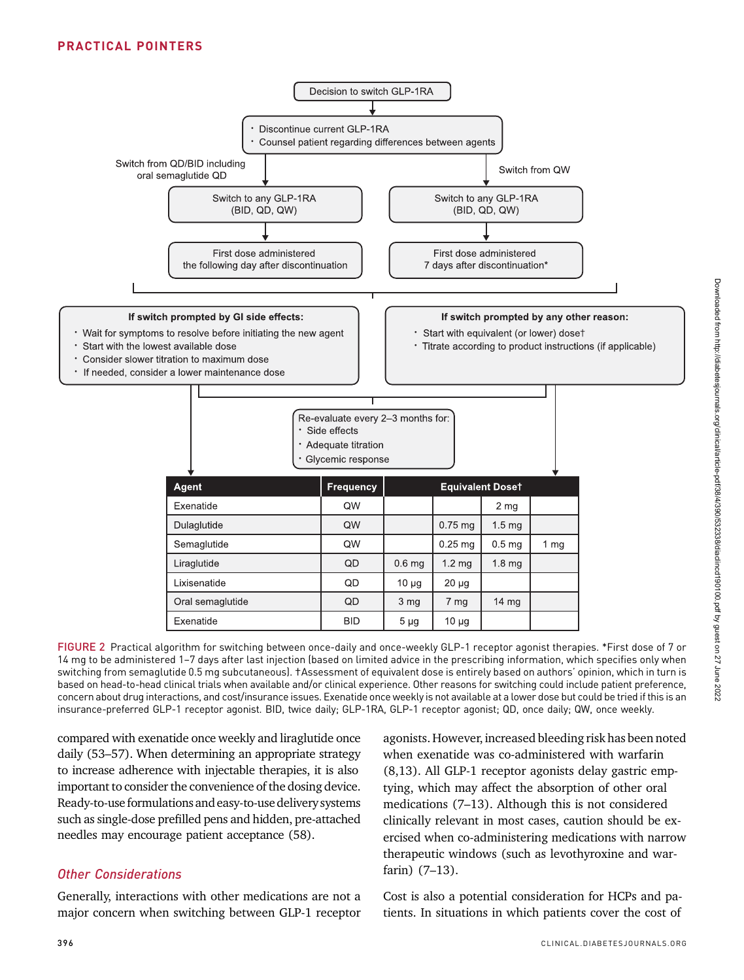

FIGURE 2 Practical algorithm for switching between once-daily and once-weekly GLP-1 receptor agonist therapies. \*First dose of 7 or 14 mg to be administered 1–7 days after last injection (based on limited advice in the prescribing information, which specifies only when switching from semaglutide 0.5 mg subcutaneous). †Assessment of equivalent dose is entirely based on authors' opinion, which in turn is based on head-to-head clinical trials when available and/or clinical experience. Other reasons for switching could include patient preference, concern about drug interactions, and cost/insurance issues. Exenatide once weekly is not available at a lower dose but could be tried if this is an insurance-preferred GLP-1 receptor agonist. BID, twice daily; GLP-1RA, GLP-1 receptor agonist; QD, once daily; QW, once weekly.

compared with exenatide once weekly and liraglutide once daily (53–57). When determining an appropriate strategy to increase adherence with injectable therapies, it is also important to consider the convenience of the dosing device. Ready-to-use formulations andeasy-to-use delivery systems such as single-dose prefilled pens and hidden, pre-attached needles may encourage patient acceptance (58).

# Other Considerations

Generally, interactions with other medications are not a major concern when switching between GLP-1 receptor

agonists. However, increased bleeding risk has been noted when exenatide was co-administered with warfarin (8,13). All GLP-1 receptor agonists delay gastric emptying, which may affect the absorption of other oral medications (7–13). Although this is not considered clinically relevant in most cases, caution should be exercised when co-administering medications with narrow therapeutic windows (such as levothyroxine and warfarin) (7–13).

Cost is also a potential consideration for HCPs and patients. In situations in which patients cover the cost of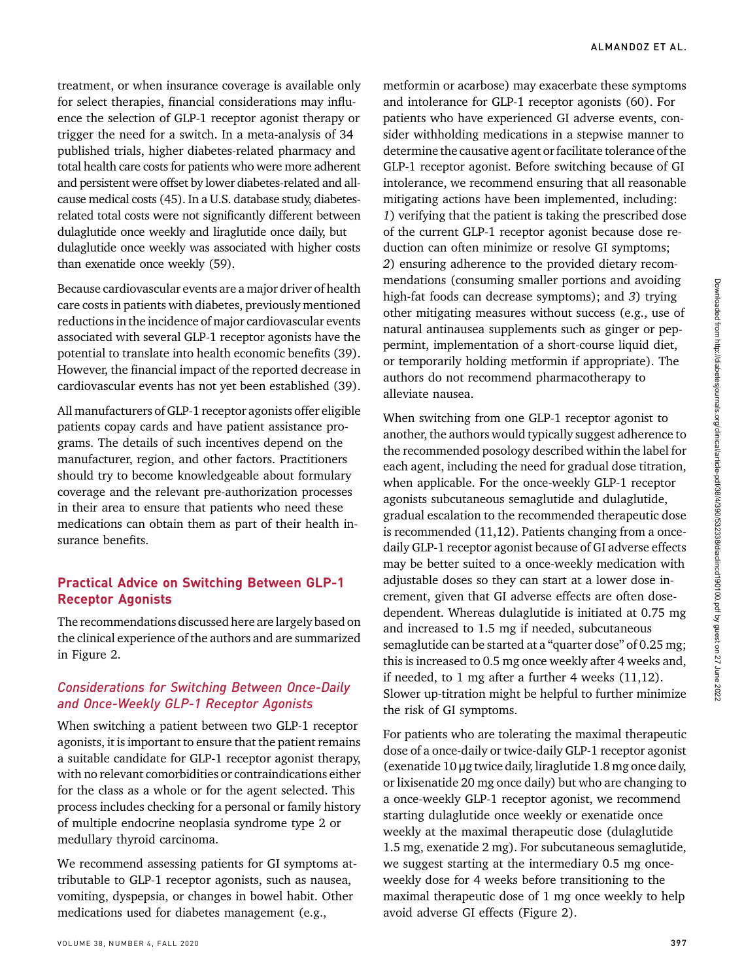treatment, or when insurance coverage is available only for select therapies, financial considerations may influence the selection of GLP-1 receptor agonist therapy or trigger the need for a switch. In a meta-analysis of 34 published trials, higher diabetes-related pharmacy and total health care costs for patients who were more adherent and persistent were offset by lower diabetes-related and allcause medical costs (45). In a U.S. database study, diabetesrelated total costs were not significantly different between dulaglutide once weekly and liraglutide once daily, but dulaglutide once weekly was associated with higher costs than exenatide once weekly (59).

Because cardiovascular events are a major driver of health care costs in patients with diabetes, previously mentioned reductions in the incidence of major cardiovascular events associated with several GLP-1 receptor agonists have the potential to translate into health economic benefits (39). However, the financial impact of the reported decrease in cardiovascular events has not yet been established (39).

All manufacturers of GLP-1 receptor agonists offer eligible patients copay cards and have patient assistance programs. The details of such incentives depend on the manufacturer, region, and other factors. Practitioners should try to become knowledgeable about formulary coverage and the relevant pre-authorization processes in their area to ensure that patients who need these medications can obtain them as part of their health insurance benefits.

# Practical Advice on Switching Between GLP-1 Receptor Agonists

The recommendations discussed here are largely based on the clinical experience of the authors and are summarized in Figure 2.

# Considerations for Switching Between Once-Daily and Once-Weekly GLP-1 Receptor Agonists

When switching a patient between two GLP-1 receptor agonists, it is important to ensure that the patient remains a suitable candidate for GLP-1 receptor agonist therapy, with no relevant comorbidities or contraindications either for the class as a whole or for the agent selected. This process includes checking for a personal or family history of multiple endocrine neoplasia syndrome type 2 or medullary thyroid carcinoma.

We recommend assessing patients for GI symptoms attributable to GLP-1 receptor agonists, such as nausea, vomiting, dyspepsia, or changes in bowel habit. Other medications used for diabetes management (e.g.,

metformin or acarbose) may exacerbate these symptoms and intolerance for GLP-1 receptor agonists (60). For patients who have experienced GI adverse events, consider withholding medications in a stepwise manner to determine the causative agent or facilitate tolerance of the GLP-1 receptor agonist. Before switching because of GI intolerance, we recommend ensuring that all reasonable mitigating actions have been implemented, including: 1) verifying that the patient is taking the prescribed dose of the current GLP-1 receptor agonist because dose reduction can often minimize or resolve GI symptoms; 2) ensuring adherence to the provided dietary recommendations (consuming smaller portions and avoiding high-fat foods can decrease symptoms); and 3) trying other mitigating measures without success (e.g., use of natural antinausea supplements such as ginger or peppermint, implementation of a short-course liquid diet, or temporarily holding metformin if appropriate). The authors do not recommend pharmacotherapy to alleviate nausea.

When switching from one GLP-1 receptor agonist to another, the authors would typically suggest adherence to the recommended posology described within the label for each agent, including the need for gradual dose titration, when applicable. For the once-weekly GLP-1 receptor agonists subcutaneous semaglutide and dulaglutide, gradual escalation to the recommended therapeutic dose is recommended (11,12). Patients changing from a oncedaily GLP-1 receptor agonist because of GI adverse effects may be better suited to a once-weekly medication with adjustable doses so they can start at a lower dose increment, given that GI adverse effects are often dosedependent. Whereas dulaglutide is initiated at 0.75 mg and increased to 1.5 mg if needed, subcutaneous semaglutide can be started at a "quarter dose" of 0.25 mg; this is increased to 0.5 mg once weekly after 4 weeks and, if needed, to 1 mg after a further 4 weeks (11,12). Slower up-titration might be helpful to further minimize the risk of GI symptoms.

For patients who are tolerating the maximal therapeutic dose of a once-daily or twice-daily GLP-1 receptor agonist (exenatide 10 µg twice daily, liraglutide 1.8 mg once daily, or lixisenatide 20 mg once daily) but who are changing to a once-weekly GLP-1 receptor agonist, we recommend starting dulaglutide once weekly or exenatide once weekly at the maximal therapeutic dose (dulaglutide 1.5 mg, exenatide 2 mg). For subcutaneous semaglutide, we suggest starting at the intermediary 0.5 mg onceweekly dose for 4 weeks before transitioning to the maximal therapeutic dose of 1 mg once weekly to help avoid adverse GI effects (Figure 2).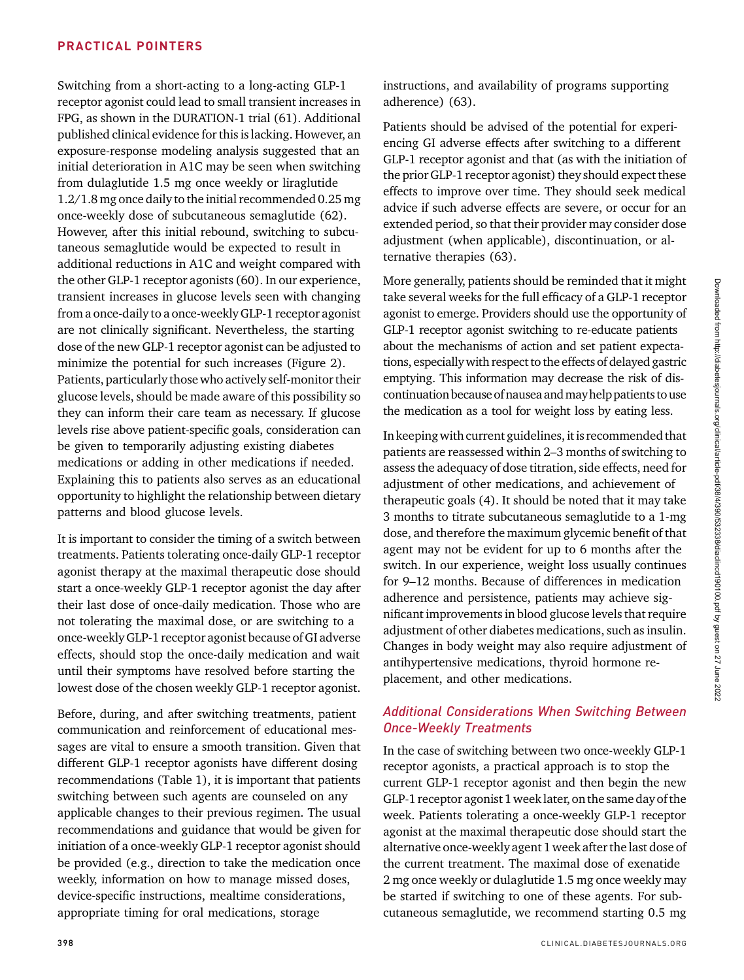Switching from a short-acting to a long-acting GLP-1 receptor agonist could lead to small transient increases in FPG, as shown in the DURATION-1 trial (61). Additional published clinical evidence for this is lacking. However, an exposure-response modeling analysis suggested that an initial deterioration in A1C may be seen when switching from dulaglutide 1.5 mg once weekly or liraglutide 1.2/1.8 mg once daily to the initial recommended 0.25 mg once-weekly dose of subcutaneous semaglutide (62). However, after this initial rebound, switching to subcutaneous semaglutide would be expected to result in additional reductions in A1C and weight compared with the other GLP-1 receptor agonists (60). In our experience, transient increases in glucose levels seen with changing from a once-daily to a once-weekly GLP-1 receptor agonist are not clinically significant. Nevertheless, the starting dose of the new GLP-1 receptor agonist can be adjusted to minimize the potential for such increases (Figure 2). Patients, particularly those who actively self-monitor their glucose levels, should be made aware of this possibility so they can inform their care team as necessary. If glucose levels rise above patient-specific goals, consideration can be given to temporarily adjusting existing diabetes medications or adding in other medications if needed. Explaining this to patients also serves as an educational opportunity to highlight the relationship between dietary patterns and blood glucose levels.

It is important to consider the timing of a switch between treatments. Patients tolerating once-daily GLP-1 receptor agonist therapy at the maximal therapeutic dose should start a once-weekly GLP-1 receptor agonist the day after their last dose of once-daily medication. Those who are not tolerating the maximal dose, or are switching to a once-weekly GLP-1 receptor agonist because of GI adverse effects, should stop the once-daily medication and wait until their symptoms have resolved before starting the lowest dose of the chosen weekly GLP-1 receptor agonist.

Before, during, and after switching treatments, patient communication and reinforcement of educational messages are vital to ensure a smooth transition. Given that different GLP-1 receptor agonists have different dosing recommendations (Table 1), it is important that patients switching between such agents are counseled on any applicable changes to their previous regimen. The usual recommendations and guidance that would be given for initiation of a once-weekly GLP-1 receptor agonist should be provided (e.g., direction to take the medication once weekly, information on how to manage missed doses, device-specific instructions, mealtime considerations, appropriate timing for oral medications, storage

instructions, and availability of programs supporting adherence) (63).

Patients should be advised of the potential for experiencing GI adverse effects after switching to a different GLP-1 receptor agonist and that (as with the initiation of the prior GLP-1 receptor agonist) they should expect these effects to improve over time. They should seek medical advice if such adverse effects are severe, or occur for an extended period, so that their provider may consider dose adjustment (when applicable), discontinuation, or alternative therapies (63).

More generally, patients should be reminded that it might take several weeks for the full efficacy of a GLP-1 receptor agonist to emerge. Providers should use the opportunity of GLP-1 receptor agonist switching to re-educate patients about the mechanisms of action and set patient expectations, especially with respect to the effects of delayed gastric emptying. This information may decrease the risk of discontinuation because of nausea andmayhelp patients to use the medication as a tool for weight loss by eating less.

In keeping with current guidelines, it is recommended that patients are reassessed within 2–3 months of switching to assess the adequacy of dose titration, side effects, need for adjustment of other medications, and achievement of therapeutic goals (4). It should be noted that it may take 3 months to titrate subcutaneous semaglutide to a 1-mg dose, and therefore the maximum glycemic benefit of that agent may not be evident for up to 6 months after the switch. In our experience, weight loss usually continues for 9–12 months. Because of differences in medication adherence and persistence, patients may achieve significant improvements in blood glucose levels that require adjustment of other diabetes medications, such as insulin. Changes in body weight may also require adjustment of antihypertensive medications, thyroid hormone replacement, and other medications.

# Additional Considerations When Switching Between Once-Weekly Treatments

In the case of switching between two once-weekly GLP-1 receptor agonists, a practical approach is to stop the current GLP-1 receptor agonist and then begin the new GLP-1 receptor agonist 1 week later, on the same day of the week. Patients tolerating a once-weekly GLP-1 receptor agonist at the maximal therapeutic dose should start the alternative once-weekly agent 1 week after the last dose of the current treatment. The maximal dose of exenatide 2 mg once weekly or dulaglutide 1.5 mg once weekly may be started if switching to one of these agents. For subcutaneous semaglutide, we recommend starting 0.5 mg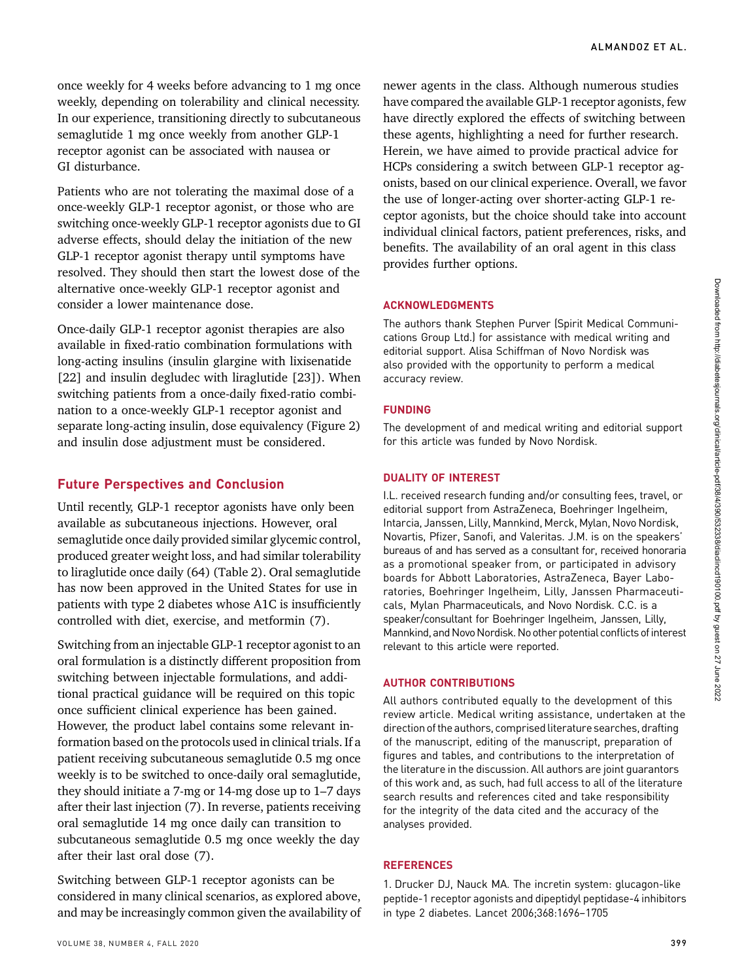once weekly for 4 weeks before advancing to 1 mg once weekly, depending on tolerability and clinical necessity. In our experience, transitioning directly to subcutaneous semaglutide 1 mg once weekly from another GLP-1 receptor agonist can be associated with nausea or GI disturbance.

Patients who are not tolerating the maximal dose of a once-weekly GLP-1 receptor agonist, or those who are switching once-weekly GLP-1 receptor agonists due to GI adverse effects, should delay the initiation of the new GLP-1 receptor agonist therapy until symptoms have resolved. They should then start the lowest dose of the alternative once-weekly GLP-1 receptor agonist and consider a lower maintenance dose.

Once-daily GLP-1 receptor agonist therapies are also available in fixed-ratio combination formulations with long-acting insulins (insulin glargine with lixisenatide [22] and insulin degludec with liraglutide [23]). When switching patients from a once-daily fixed-ratio combination to a once-weekly GLP-1 receptor agonist and separate long-acting insulin, dose equivalency (Figure 2) and insulin dose adjustment must be considered.

## Future Perspectives and Conclusion

Until recently, GLP-1 receptor agonists have only been available as subcutaneous injections. However, oral semaglutide once daily provided similar glycemic control, produced greater weight loss, and had similar tolerability to liraglutide once daily (64) (Table 2). Oral semaglutide has now been approved in the United States for use in patients with type 2 diabetes whose A1C is insufficiently controlled with diet, exercise, and metformin (7).

Switching from an injectable GLP-1 receptor agonist to an oral formulation is a distinctly different proposition from switching between injectable formulations, and additional practical guidance will be required on this topic once sufficient clinical experience has been gained. However, the product label contains some relevant information based on the protocols used in clinical trials. If a patient receiving subcutaneous semaglutide 0.5 mg once weekly is to be switched to once-daily oral semaglutide, they should initiate a 7-mg or 14-mg dose up to 1–7 days after their last injection (7). In reverse, patients receiving oral semaglutide 14 mg once daily can transition to subcutaneous semaglutide 0.5 mg once weekly the day after their last oral dose (7).

Switching between GLP-1 receptor agonists can be considered in many clinical scenarios, as explored above, and may be increasingly common given the availability of

newer agents in the class. Although numerous studies have compared the available GLP-1 receptor agonists, few have directly explored the effects of switching between these agents, highlighting a need for further research. Herein, we have aimed to provide practical advice for HCPs considering a switch between GLP-1 receptor agonists, based on our clinical experience. Overall, we favor the use of longer-acting over shorter-acting GLP-1 receptor agonists, but the choice should take into account individual clinical factors, patient preferences, risks, and benefits. The availability of an oral agent in this class provides further options.

#### ACKNOWLEDGMENTS

The authors thank Stephen Purver (Spirit Medical Communications Group Ltd.) for assistance with medical writing and editorial support. Alisa Schiffman of Novo Nordisk was also provided with the opportunity to perform a medical accuracy review.

#### FUNDING

The development of and medical writing and editorial support for this article was funded by Novo Nordisk.

#### DUALITY OF INTEREST

I.L. received research funding and/or consulting fees, travel, or editorial support from AstraZeneca, Boehringer Ingelheim, Intarcia, Janssen, Lilly, Mannkind, Merck, Mylan, Novo Nordisk, Novartis, Pfizer, Sanofi, and Valeritas. J.M. is on the speakers' bureaus of and has served as a consultant for, received honoraria as a promotional speaker from, or participated in advisory boards for Abbott Laboratories, AstraZeneca, Bayer Laboratories, Boehringer Ingelheim, Lilly, Janssen Pharmaceuticals, Mylan Pharmaceuticals, and Novo Nordisk. C.C. is a speaker/consultant for Boehringer Ingelheim, Janssen, Lilly, Mannkind, and Novo Nordisk. No other potential conflicts of interest relevant to this article were reported.

#### AUTHOR CONTRIBUTIONS

All authors contributed equally to the development of this review article. Medical writing assistance, undertaken at the direction of the authors, comprised literature searches, drafting of the manuscript, editing of the manuscript, preparation of figures and tables, and contributions to the interpretation of the literature in the discussion. All authors are joint guarantors of this work and, as such, had full access to all of the literature search results and references cited and take responsibility for the integrity of the data cited and the accuracy of the analyses provided.

#### **REFERENCES**

1. Drucker DJ, Nauck MA. The incretin system: glucagon-like peptide-1 receptor agonists and dipeptidyl peptidase-4 inhibitors in type 2 diabetes. Lancet 2006;368:1696–1705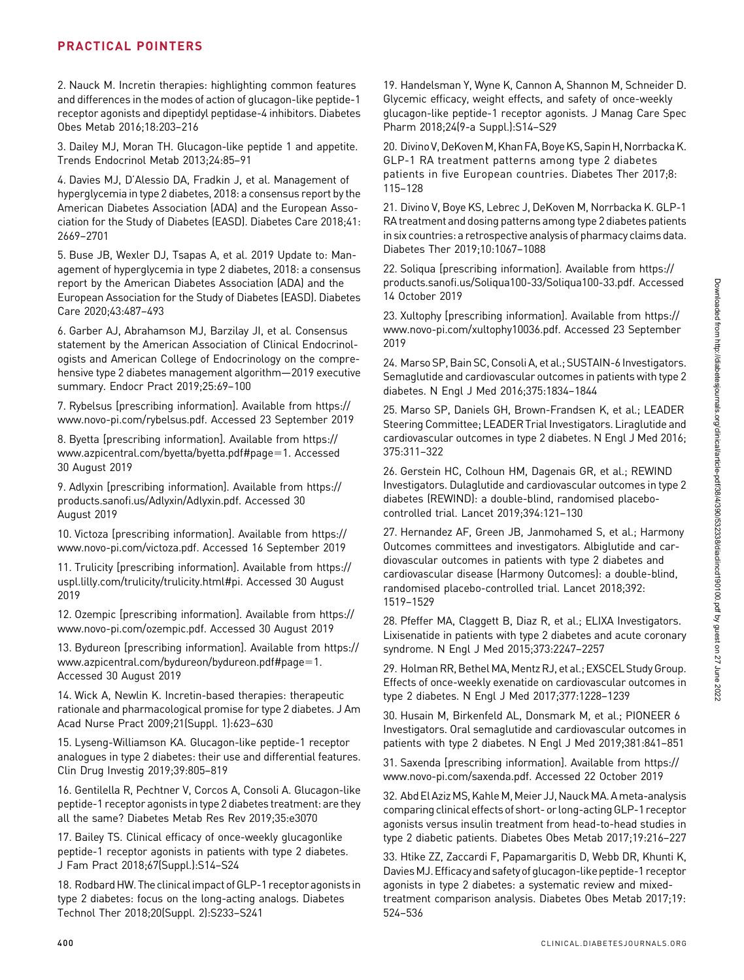2. Nauck M. Incretin therapies: highlighting common features and differences in the modes of action of glucagon-like peptide-1 receptor agonists and dipeptidyl peptidase-4 inhibitors. Diabetes Obes Metab 2016;18:203–216

3. Dailey MJ, Moran TH. Glucagon-like peptide 1 and appetite. Trends Endocrinol Metab 2013;24:85–91

4. Davies MJ, D'Alessio DA, Fradkin J, et al. Management of hyperglycemia in type 2 diabetes, 2018: a consensus report by the American Diabetes Association (ADA) and the European Association for the Study of Diabetes (EASD). Diabetes Care 2018;41: 2669–2701

5. Buse JB, Wexler DJ, Tsapas A, et al. 2019 Update to: Management of hyperglycemia in type 2 diabetes, 2018: a consensus report by the American Diabetes Association (ADA) and the European Association for the Study of Diabetes (EASD). Diabetes Care 2020;43:487–493

6. Garber AJ, Abrahamson MJ, Barzilay JI, et al. Consensus statement by the American Association of Clinical Endocrinologists and American College of Endocrinology on the comprehensive type 2 diabetes management algorithm—2019 executive summary. Endocr Pract 2019;25:69–100

7. Rybelsus [prescribing information]. Available from [https://](https://www.novo-pi.com/rybelsus.pdf) [www.novo-pi.com/rybelsus.pdf](https://www.novo-pi.com/rybelsus.pdf). Accessed 23 September 2019

8. Byetta [prescribing information]. Available from [https://](https://www.azpicentral.com/byetta/byetta.pdf#page=1) [www.azpicentral.com/byetta/byetta.pdf#page](https://www.azpicentral.com/byetta/byetta.pdf#page=1)=[1](https://www.azpicentral.com/byetta/byetta.pdf#page=1). Accessed 30 August 2019

9. Adlyxin [prescribing information]. Available from [https://](https://products.sanofi.us/Adlyxin/Adlyxin.pdf) products.sanofi[.us/Adlyxin/Adlyxin.pdf](https://products.sanofi.us/Adlyxin/Adlyxin.pdf). Accessed 30 August 2019

10. Victoza [prescribing information]. Available from [https://](https://www.novo-pi.com/victoza.pdf) [www.novo-pi.com/victoza.pdf.](https://www.novo-pi.com/victoza.pdf) Accessed 16 September 2019

11. Trulicity [prescribing information]. Available from [https://](https://uspl.lilly.com/trulicity/trulicity.html#pi) [uspl.lilly.com/trulicity/trulicity.html#pi.](https://uspl.lilly.com/trulicity/trulicity.html#pi) Accessed 30 August 2019

12. Ozempic [prescribing information]. Available from [https://](https://www.novo-pi.com/ozempic.pdf) [www.novo-pi.com/ozempic.pdf.](https://www.novo-pi.com/ozempic.pdf) Accessed 30 August 2019

13. Bydureon [prescribing information]. Available from [https://](https://www.azpicentral.com/bydureon/bydureon.pdf#page=1) [www.azpicentral.com/bydureon/bydureon.pdf#page](https://www.azpicentral.com/bydureon/bydureon.pdf#page=1)=[1.](https://www.azpicentral.com/bydureon/bydureon.pdf#page=1) Accessed 30 August 2019

14. Wick A, Newlin K. Incretin-based therapies: therapeutic rationale and pharmacological promise for type 2 diabetes. J Am Acad Nurse Pract 2009;21(Suppl. 1):623–630

15. Lyseng-Williamson KA. Glucagon-like peptide-1 receptor analogues in type 2 diabetes: their use and differential features. Clin Drug Investig 2019;39:805–819

16. Gentilella R, Pechtner V, Corcos A, Consoli A. Glucagon-like peptide-1 receptor agonists in type 2 diabetes treatment: are they all the same? Diabetes Metab Res Rev 2019;35:e3070

17. Bailey TS. Clinical efficacy of once-weekly glucagonlike peptide-1 receptor agonists in patients with type 2 diabetes. J Fam Pract 2018;67(Suppl.):S14–S24

18. Rodbard HW. The clinical impact of GLP-1 receptor agonists in type 2 diabetes: focus on the long-acting analogs. Diabetes Technol Ther 2018;20(Suppl. 2):S233–S241

19. Handelsman Y, Wyne K, Cannon A, Shannon M, Schneider D. Glycemic efficacy, weight effects, and safety of once-weekly glucagon-like peptide-1 receptor agonists. J Manag Care Spec Pharm 2018;24(9-a Suppl.):S14–S29

20. Divino V, DeKoven M, Khan FA, Boye KS, Sapin H, Norrbacka K. GLP-1 RA treatment patterns among type 2 diabetes patients in five European countries. Diabetes Ther 2017;8: 115–128

21. Divino V, Boye KS, Lebrec J, DeKoven M, Norrbacka K. GLP-1 RA treatment and dosing patterns among type 2 diabetes patients in six countries: a retrospective analysis of pharmacy claims data. Diabetes Ther 2019;10:1067–1088

22. Soliqua [prescribing information]. Available from [https://](https://products.sanofi.us/Soliqua100-33/Soliqua100-33.pdf) products.sanofi[.us/Soliqua100-33/Soliqua100-33.pdf.](https://products.sanofi.us/Soliqua100-33/Soliqua100-33.pdf) Accessed 14 October 2019

23. Xultophy [prescribing information]. Available from [https://](https://www.novo-pi.com/xultophy10036.pdf) [www.novo-pi.com/xultophy10036.pdf](https://www.novo-pi.com/xultophy10036.pdf). Accessed 23 September 2019

24. Marso SP, Bain SC, Consoli A, et al.; SUSTAIN-6 Investigators. Semaglutide and cardiovascular outcomes in patients with type 2 diabetes. N Engl J Med 2016;375:1834–1844

25. Marso SP, Daniels GH, Brown-Frandsen K, et al.; LEADER Steering Committee; LEADER Trial Investigators. Liraglutide and cardiovascular outcomes in type 2 diabetes. N Engl J Med 2016; 375:311–322

26. Gerstein HC, Colhoun HM, Dagenais GR, et al.; REWIND Investigators. Dulaglutide and cardiovascular outcomes in type 2 diabetes (REWIND): a double-blind, randomised placebocontrolled trial. Lancet 2019;394:121–130

27. Hernandez AF, Green JB, Janmohamed S, et al.; Harmony Outcomes committees and investigators. Albiglutide and cardiovascular outcomes in patients with type 2 diabetes and cardiovascular disease (Harmony Outcomes): a double-blind, randomised placebo-controlled trial. Lancet 2018;392: 1519–1529

28. Pfeffer MA, Claggett B, Diaz R, et al.; ELIXA Investigators. Lixisenatide in patients with type 2 diabetes and acute coronary syndrome. N Engl J Med 2015;373:2247–2257

29. Holman RR, Bethel MA, Mentz RJ, et al.; EXSCEL Study Group. Effects of once-weekly exenatide on cardiovascular outcomes in type 2 diabetes. N Engl J Med 2017;377:1228–1239

30. Husain M, Birkenfeld AL, Donsmark M, et al.; PIONEER 6 Investigators. Oral semaglutide and cardiovascular outcomes in patients with type 2 diabetes. N Engl J Med 2019;381:841–851

31. Saxenda [prescribing information]. Available from [https://](https://www.novo-pi.com/saxenda.pdf) [www.novo-pi.com/saxenda.pdf](https://www.novo-pi.com/saxenda.pdf). Accessed 22 October 2019

32. Abd El Aziz MS, Kahle M, Meier JJ, Nauck MA. A meta-analysis comparing clinical effects of short- orlong-actingGLP-1 receptor agonists versus insulin treatment from head-to-head studies in type 2 diabetic patients. Diabetes Obes Metab 2017;19:216–227

33. Htike ZZ, Zaccardi F, Papamargaritis D, Webb DR, Khunti K, DaviesMJ. Efficacy and safety of glucagon-like peptide-1 receptor agonists in type 2 diabetes: a systematic review and mixedtreatment comparison analysis. Diabetes Obes Metab 2017;19: 524–536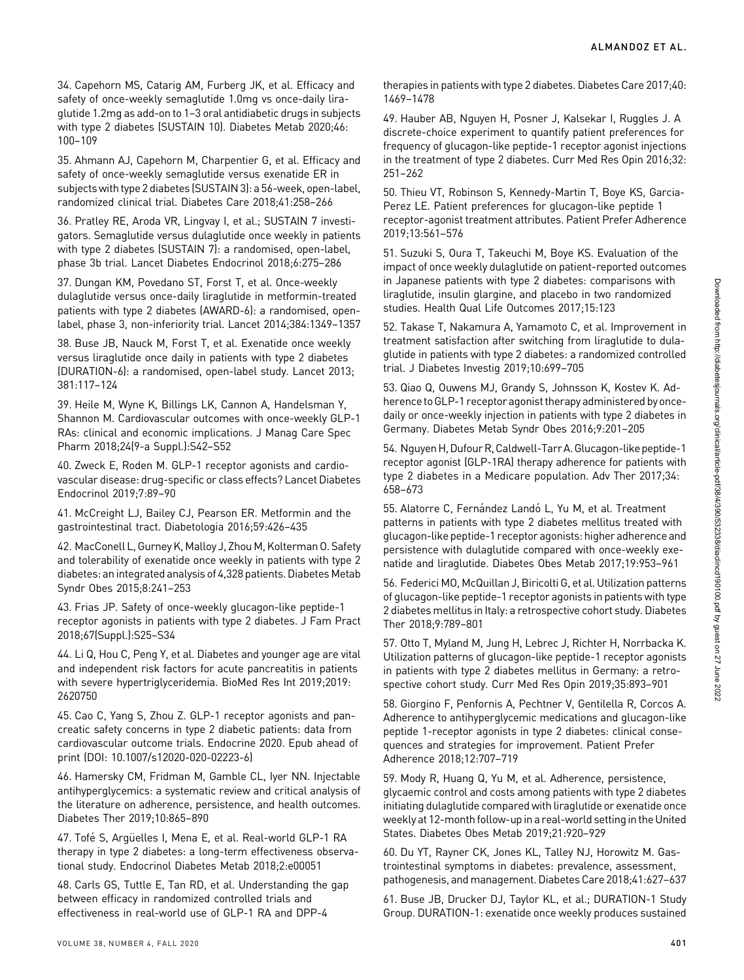34. Capehorn MS, Catarig AM, Furberg JK, et al. Efficacy and safety of once-weekly semaglutide 1.0mg vs once-daily liraglutide 1.2mg as add-on to 1–3 oral antidiabetic drugs in subjects with type 2 diabetes (SUSTAIN 10). Diabetes Metab 2020;46: 100–109

35. Ahmann AJ, Capehorn M, Charpentier G, et al. Efficacy and safety of once-weekly semaglutide versus exenatide ER in subjects with type 2 diabetes (SUSTAIN 3): a 56-week, open-label, randomized clinical trial. Diabetes Care 2018;41:258–266

36. Pratley RE, Aroda VR, Lingvay I, et al.; SUSTAIN 7 investigators. Semaglutide versus dulaglutide once weekly in patients with type 2 diabetes (SUSTAIN 7): a randomised, open-label, phase 3b trial. Lancet Diabetes Endocrinol 2018;6:275–286

37. Dungan KM, Povedano ST, Forst T, et al. Once-weekly dulaglutide versus once-daily liraglutide in metformin-treated patients with type 2 diabetes (AWARD-6): a randomised, openlabel, phase 3, non-inferiority trial. Lancet 2014;384:1349–1357

38. Buse JB, Nauck M, Forst T, et al. Exenatide once weekly versus liraglutide once daily in patients with type 2 diabetes (DURATION-6): a randomised, open-label study. Lancet 2013; 381:117–124

39. Heile M, Wyne K, Billings LK, Cannon A, Handelsman Y, Shannon M. Cardiovascular outcomes with once-weekly GLP-1 RAs: clinical and economic implications. J Manag Care Spec Pharm 2018;24(9-a Suppl.):S42–S52

40. Zweck E, Roden M. GLP-1 receptor agonists and cardiovascular disease: drug-specific or class effects? Lancet Diabetes Endocrinol 2019;7:89–90

41. McCreight LJ, Bailey CJ, Pearson ER. Metformin and the gastrointestinal tract. Diabetologia 2016;59:426–435

42. MacConell L, Gurney K, Malloy J, Zhou M, Kolterman O. Safety and tolerability of exenatide once weekly in patients with type 2 diabetes: an integrated analysis of 4,328 patients. Diabetes Metab Syndr Obes 2015;8:241–253

43. Frias JP. Safety of once-weekly glucagon-like peptide-1 receptor agonists in patients with type 2 diabetes. J Fam Pract 2018;67(Suppl.):S25–S34

44. Li Q, Hou C, Peng Y, et al. Diabetes and younger age are vital and independent risk factors for acute pancreatitis in patients with severe hypertriglyceridemia. BioMed Res Int 2019;2019: 2620750

45. Cao C, Yang S, Zhou Z. GLP-1 receptor agonists and pancreatic safety concerns in type 2 diabetic patients: data from cardiovascular outcome trials. Endocrine 2020. Epub ahead of print (DOI: 10.1007/s12020-020-02223-6)

46. Hamersky CM, Fridman M, Gamble CL, Iyer NN. Injectable antihyperglycemics: a systematic review and critical analysis of the literature on adherence, persistence, and health outcomes. Diabetes Ther 2019;10:865–890

47. Tofé S, Argüelles I, Mena E, et al. Real-world GLP-1 RA therapy in type 2 diabetes: a long-term effectiveness observational study. Endocrinol Diabetes Metab 2018;2:e00051

48. Carls GS, Tuttle E, Tan RD, et al. Understanding the gap between efficacy in randomized controlled trials and effectiveness in real-world use of GLP-1 RA and DPP-4

therapies in patients with type 2 diabetes. Diabetes Care 2017;40: 1469–1478

49. Hauber AB, Nguyen H, Posner J, Kalsekar I, Ruggles J. A discrete-choice experiment to quantify patient preferences for frequency of glucagon-like peptide-1 receptor agonist injections in the treatment of type 2 diabetes. Curr Med Res Opin 2016;32: 251–262

50. Thieu VT, Robinson S, Kennedy-Martin T, Boye KS, Garcia-Perez LE. Patient preferences for glucagon-like peptide 1 receptor-agonist treatment attributes. Patient Prefer Adherence 2019;13:561–576

51. Suzuki S, Oura T, Takeuchi M, Boye KS. Evaluation of the impact of once weekly dulaglutide on patient-reported outcomes in Japanese patients with type 2 diabetes: comparisons with liraglutide, insulin glargine, and placebo in two randomized studies. Health Qual Life Outcomes 2017;15:123

52. Takase T, Nakamura A, Yamamoto C, et al. Improvement in treatment satisfaction after switching from liraglutide to dulaglutide in patients with type 2 diabetes: a randomized controlled trial. J Diabetes Investig 2019;10:699–705

53. Qiao Q, Ouwens MJ, Grandy S, Johnsson K, Kostev K. Adherence to GLP-1 receptor agonist therapy administered by oncedaily or once-weekly injection in patients with type 2 diabetes in Germany. Diabetes Metab Syndr Obes 2016;9:201–205

54. Nguyen H, Dufour R, Caldwell-Tarr A. Glucagon-like peptide-1 receptor agonist (GLP-1RA) therapy adherence for patients with type 2 diabetes in a Medicare population. Adv Ther 2017;34: 658–673

55. Alatorre C, Fernández Landó L, Yu M, et al. Treatment patterns in patients with type 2 diabetes mellitus treated with glucagon-like peptide-1 receptor agonists: higher adherence and persistence with dulaglutide compared with once-weekly exenatide and liraglutide. Diabetes Obes Metab 2017;19:953–961

56. Federici MO, McQuillan J, Biricolti G, et al. Utilization patterns of glucagon-like peptide-1 receptor agonists in patients with type 2 diabetes mellitus in Italy: a retrospective cohort study. Diabetes Ther 2018;9:789–801

57. Otto T, Myland M, Jung H, Lebrec J, Richter H, Norrbacka K. Utilization patterns of glucagon-like peptide-1 receptor agonists in patients with type 2 diabetes mellitus in Germany: a retrospective cohort study. Curr Med Res Opin 2019;35:893–901

58. Giorgino F, Penfornis A, Pechtner V, Gentilella R, Corcos A. Adherence to antihyperglycemic medications and glucagon-like peptide 1-receptor agonists in type 2 diabetes: clinical consequences and strategies for improvement. Patient Prefer Adherence 2018;12:707–719

59. Mody R, Huang Q, Yu M, et al. Adherence, persistence, glycaemic control and costs among patients with type 2 diabetes initiating dulaglutide compared with liraglutide or exenatide once weekly at 12-month follow-up in a real-world setting in the United States. Diabetes Obes Metab 2019;21:920–929

60. Du YT, Rayner CK, Jones KL, Talley NJ, Horowitz M. Gastrointestinal symptoms in diabetes: prevalence, assessment, pathogenesis, and management. Diabetes Care 2018;41:627–637

61. Buse JB, Drucker DJ, Taylor KL, et al.; DURATION-1 Study Group. DURATION-1: exenatide once weekly produces sustained